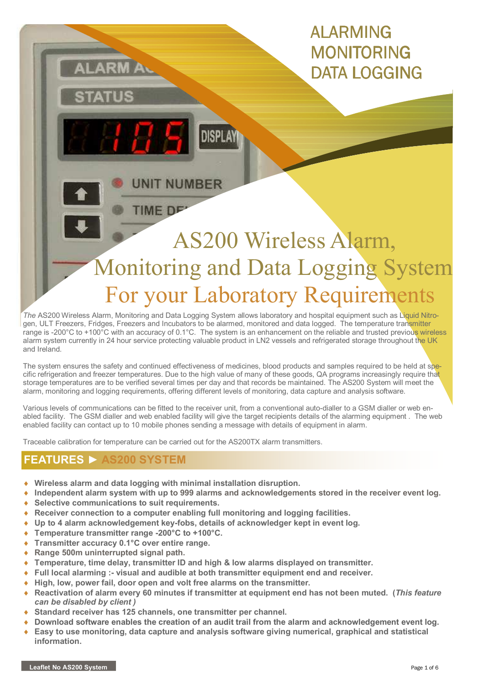# ALARMING MONITORING DATA LOGGING

 AS200 Wireless Alarm, Monitoring and Data Logging System For your Laboratory Requirements

The AS200 Wireless Alarm, Monitoring and Data Logging System allows laboratory and hospital equipment such as Liquid Nitrogen, ULT Freezers, Fridges, Freezers and Incubators to be alarmed, monitored and data logged. The temperature transmitter range is -200°C to +100°C with an accuracy of 0.1°C. The system is an enhancement on the reliable and trusted previous wireless alarm system currently in 24 hour service protecting valuable product in LN2 vessels and refrigerated storage throughout the UK and Ireland.

**DISPLA** 

**UNIT NUMBER** 

**TIME DE** 

The system ensures the safety and continued effectiveness of medicines, blood products and samples required to be held at specific refrigeration and freezer temperatures. Due to the high value of many of these goods, QA programs increasingly require that storage temperatures are to be verified several times per day and that records be maintained. The AS200 System will meet the alarm, monitoring and logging requirements, offering different levels of monitoring, data capture and analysis software.

Various levels of communications can be fitted to the receiver unit, from a conventional auto-dialler to a GSM dialler or web enabled facility. The GSM dialler and web enabled facility will give the target recipients details of the alarming equipment . The web enabled facility can contact up to 10 mobile phones sending a message with details of equipment in alarm.

Traceable calibration for temperature can be carried out for the AS200TX alarm transmitters.

### FEATURES ► AS200 SYSTEM

- ♦ Wireless alarm and data logging with minimal installation disruption.
- Independent alarm system with up to 999 alarms and acknowledgements stored in the receiver event log.
- ♦ Selective communications to suit requirements.
- $\triangle$  Receiver connection to a computer enabling full monitoring and logging facilities.
- Up to 4 alarm acknowledgement key-fobs, details of acknowledger kept in event log.
- ♦ Temperature transmitter range -200°C to +100°C.
- ◆ Transmitter accuracy 0.1°C over entire range.
- ♦ Range 500m uninterrupted signal path.
- ♦ Temperature, time delay, transmitter ID and high & low alarms displayed on transmitter.
- ♦ Full local alarming :- visual and audible at both transmitter equipment end and receiver.
- ♦ High, low, power fail, door open and volt free alarms on the transmitter.
- Reactivation of alarm every 60 minutes if transmitter at equipment end has not been muted. (This feature can be disabled by client )
- Standard receiver has 125 channels, one transmitter per channel.
- Download software enables the creation of an audit trail from the alarm and acknowledgement event log.
- Easy to use monitoring, data capture and analysis software giving numerical, graphical and statistical information.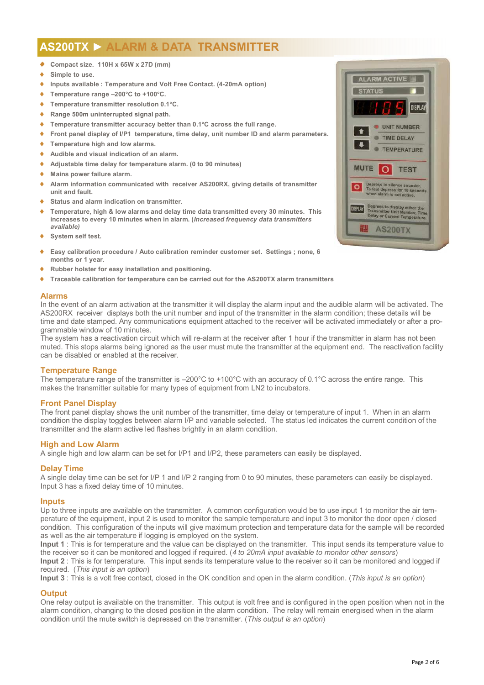### AS200TX ► ALARM & DATA TRANSMITTER

- ♦ . ♦ Compact size. 110H x 65W x 27D (mm)
- ◆ Simple to use.
- ♦ Inputs available : Temperature and Volt Free Contact. (4-20mA option)
- ♦ Temperature range –200°C to +100°C.
- Temperature transmitter resolution 0.1°C.
- Range 500m uninterrupted signal path.
- Temperature transmitter accuracy better than 0.1°C across the full range.
- ♦ Front panel display of I/P1 temperature, time delay, unit number ID and alarm parameters.
- Temperature high and low alarms.
- ♦ Audible and visual indication of an alarm.
- Adjustable time delay for temperature alarm. (0 to 90 minutes)
- Mains power failure alarm.
- ♦ Alarm information communicated with receiver AS200RX, giving details of transmitter unit and fault.
- Status and alarm indication on transmitter.
- Temperature, high & low alarms and delay time data transmitted every 30 minutes. This increases to every 10 minutes when in alarm. (Increased frequency data transmitters available)
- ♦ System self test.
- Easy calibration procedure / Auto calibration reminder customer set. Settings ; none, 6 months or 1 year.
- Rubber holster for easy installation and positioning.
- Traceable calibration for temperature can be carried out for the AS200TX alarm transmitters

#### Alarms

In the event of an alarm activation at the transmitter it will display the alarm input and the audible alarm will be activated. The AS200RX receiver displays both the unit number and input of the transmitter in the alarm condition; these details will be time and date stamped. Any communications equipment attached to the receiver will be activated immediately or after a programmable window of 10 minutes.

The system has a reactivation circuit which will re-alarm at the receiver after 1 hour if the transmitter in alarm has not been muted. This stops alarms being ignored as the user must mute the transmitter at the equipment end. The reactivation facility can be disabled or enabled at the receiver.

#### Temperature Range

The temperature range of the transmitter is –200°C to +100°C with an accuracy of 0.1°C across the entire range. This makes the transmitter suitable for many types of equipment from LN2 to incubators.

#### Front Panel Display

The front panel display shows the unit number of the transmitter, time delay or temperature of input 1. When in an alarm condition the display toggles between alarm I/P and variable selected. The status led indicates the current condition of the transmitter and the alarm active led flashes brightly in an alarm condition.

#### High and Low Alarm

A single high and low alarm can be set for I/P1 and I/P2, these parameters can easily be displayed.

#### Delay Time

A single delay time can be set for I/P 1 and I/P 2 ranging from 0 to 90 minutes, these parameters can easily be displayed. Input 3 has a fixed delay time of 10 minutes.

#### Inputs

Up to three inputs are available on the transmitter. A common configuration would be to use input 1 to monitor the air temperature of the equipment, input 2 is used to monitor the sample temperature and input 3 to monitor the door open / closed condition. This configuration of the inputs will give maximum protection and temperature data for the sample will be recorded as well as the air temperature if logging is employed on the system.

Input 1 : This is for temperature and the value can be displayed on the transmitter. This input sends its temperature value to the receiver so it can be monitored and logged if required. (4 to 20mA input available to monitor other sensors)

Input 2 : This is for temperature. This input sends its temperature value to the receiver so it can be monitored and logged if required. (This input is an option)

Input 3 : This is a volt free contact, closed in the OK condition and open in the alarm condition. (This input is an option)

### **Output**

One relay output is available on the transmitter. This output is volt free and is configured in the open position when not in the alarm condition, changing to the closed position in the alarm condition. The relay will remain energised when in the alarm condition until the mute switch is depressed on the transmitter. (This output is an option)

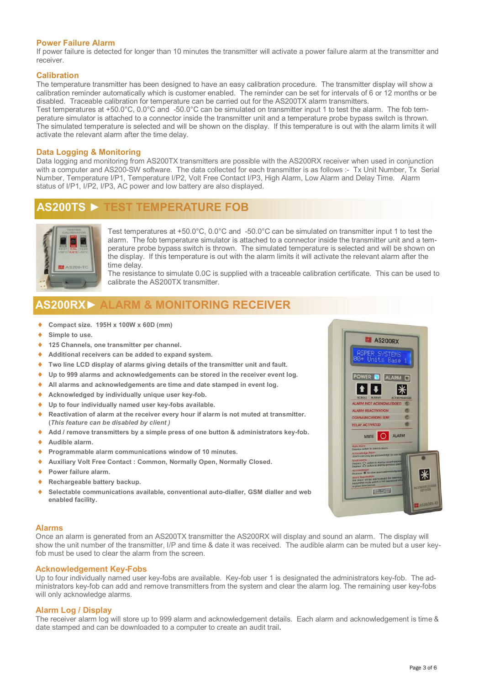#### Power Failure Alarm

If power failure is detected for longer than 10 minutes the transmitter will activate a power failure alarm at the transmitter and receiver.

#### **Calibration**

The temperature transmitter has been designed to have an easy calibration procedure. The transmitter display will show a calibration reminder automatically which is customer enabled. The reminder can be set for intervals of 6 or 12 months or be disabled. Traceable calibration for temperature can be carried out for the AS200TX alarm transmitters. Test temperatures at +50.0°C, 0.0°C and -50.0°C can be simulated on transmitter input 1 to test the alarm. The fob temperature simulator is attached to a connector inside the transmitter unit and a temperature probe bypass switch is thrown. The simulated temperature is selected and will be shown on the display. If this temperature is out with the alarm limits it will activate the relevant alarm after the time delay.

#### Data Logging & Monitoring

Data logging and monitoring from AS200TX transmitters are possible with the AS200RX receiver when used in conjunction with a computer and AS200-SW software. The data collected for each transmitter is as follows :- Tx Unit Number, Tx Serial Number, Temperature I/P1, Temperature I/P2, Volt Free Contact I/P3, High Alarm, Low Alarm and Delay Time. Alarm status of I/P1, I/P2, I/P3, AC power and low battery are also displayed.

### AS200TS ► TEST TEMPERATURE FOB



Test temperatures at +50.0°C, 0.0°C and -50.0°C can be simulated on transmitter input 1 to test the alarm. The fob temperature simulator is attached to a connector inside the transmitter unit and a temperature probe bypass switch is thrown. The simulated temperature is selected and will be shown on the display. If this temperature is out with the alarm limits it will activate the relevant alarm after the time delay.

The resistance to simulate 0.0C is supplied with a traceable calibration certificate. This can be used to calibrate the AS200TX transmitter.

### AS200RX► ALARM & MONITORING RECEIVER

- ♦ Compact size. 195H x 100W x 60D (mm)
- ♦ Simple to use.
- ◆ 125 Channels, one transmitter per channel.
- ♦ Additional receivers can be added to expand system.
- ♦ Two line LCD display of alarms giving details of the transmitter unit and fault.
- ♦ Up to 999 alarms and acknowledgements can be stored in the receiver event log.
- ♦ All alarms and acknowledgements are time and date stamped in event log.
- ♦ Acknowledged by individually unique user key-fob.
- ♦ Up to four individually named user key-fobs available.
- ♦ Reactivation of alarm at the receiver every hour if alarm is not muted at transmitter. (This feature can be disabled by client )
- Add / remove transmitters by a simple press of one button & administrators key-fob.
- ♦ Audible alarm.
- ♦ Programmable alarm communications window of 10 minutes.
- ♦ Auxiliary Volt Free Contact : Common, Normally Open, Normally Closed.
- ♦ Power failure alarm.
- ♦ Rechargeable battery backup.
- ♦ Selectable communications available, conventional auto-dialler, GSM dialler and web enabled facility.

#### Alarms

Once an alarm is generated from an AS200TX transmitter the AS200RX will display and sound an alarm. The display will show the unit number of the transmitter, I/P and time & date it was received. The audible alarm can be muted but a user keyfob must be used to clear the alarm from the screen.

#### Acknowledgement Key-Fobs

Up to four individually named user key-fobs are available. Key-fob user 1 is designated the administrators key-fob. The administrators key-fob can add and remove transmitters from the system and clear the alarm log. The remaining user key-fobs will only acknowledge alarms.

#### Alarm Log / Display

The receiver alarm log will store up to 999 alarm and acknowledgement details. Each alarm and acknowledgement is time & date stamped and can be downloaded to a computer to create an audit trail.

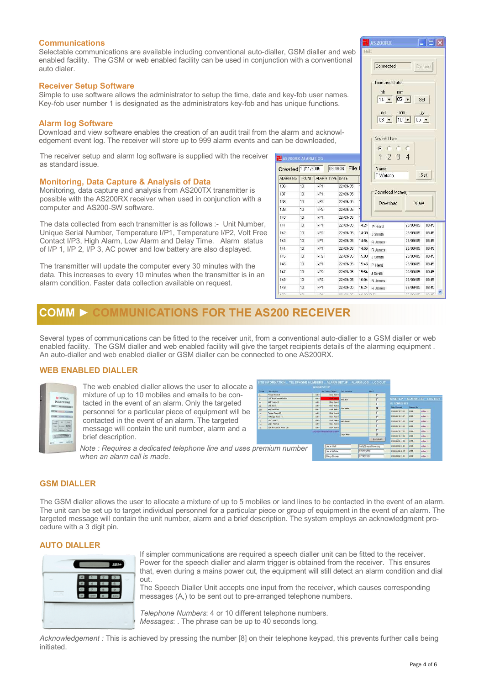#### **Communications**

Selectable communications are available including conventional auto-dialler, GSM dialler and web enabled facility. The GSM or web enabled facility can be used in conjunction with a conventional auto dialer.

#### Receiver Setup Software

Simple to use software allows the administrator to setup the time, date and ke Key-fob user number 1 is designated as the administrators key-fob and has unique functions.

#### Alarm log Software

Download and view software enables the creation of an audit trail from the al edgement event log. The receiver will store up to 999 alarm events and can

The receiver setup and alarm log software is supplied with the receiver 副 as standard issue.

#### Monitoring, Data Capture & Analysis of Data

Monitoring, data capture and analysis from AS200TX transmitter is possible with the AS200RX receiver when used in conjunction with a computer and AS200-SW software.

The data collected from each transmitter is as follows :- Unit Number, Unique Serial Number, Temperature I/P1, Temperature I/P2, Volt Free Contact I/P3, High Alarm, Low Alarm and Delay Time. Alarm status of I/P 1, I/P 2, I/P 3, AC power and low battery are also displayed.

The transmitter will update the computer every 30 minutes with the data. This increases to every 10 minutes when the transmitter is in an alarm condition. Faster data collection available on request.

| Time and Date<br>hh<br>mm<br>d key-fob user names.<br>$05 - $<br>$14 -$<br>Set<br>as unique functions.<br>dd<br>mm<br>yy<br>$05 -$<br>$10 - 1$<br>$06 +$<br>e alarm and acknowl-<br>Keyfob User<br>an be downloaded,<br>ï.<br>1<br>234<br><b>LAS200RX ALARM LOG</b><br>Created 10/11/2005<br>09:49:36 File<br>Name<br>Set<br>T Watson<br><b>IX UNIT ALARM TYPE DATE</b><br>ALARM No.<br>136<br>1/P1<br>10<br>22/09/05<br>Download Memory<br>137<br>10<br>1/P1<br>22/09/05<br>138<br>10<br>1/P2<br>22/09/05<br>Download<br>View<br>139<br>10<br>1/P2<br>22/09/05<br>140<br>10<br>1/P1<br>22/09/05<br>141<br>10 <sup>1</sup><br>14:24<br>1/P1<br>22/09/05<br>23/09/05<br>P Herd<br>142<br>10<br>1/P2<br>22/09/05<br>14:39<br>23/09/05<br>J Smith<br>143<br>10<br>1/P1<br>14:54<br>22/09/05<br>23/09/05<br>R Jones<br>144<br>10<br>1/P1<br>22/09/05<br>14:55<br>23/09/05<br>R Jones<br>145<br>10<br>1/P2<br>22/09/05<br>15:09<br>23/09/05<br>J Smith<br>146<br>10<br>1/P1<br>22/09/05<br>15:45<br>23/09/05<br>P Herd<br>147<br>10<br>1/P2<br>22/09/05<br>15:54<br>23/09/05<br>J Smith<br>148<br>10<br>1/P2<br>22/09/05<br>16:04<br>23/09/05<br>R Jones |  | ווטו ו איונו ו טו טיסו ואיטו ומו |  | Connected | Connect |  |
|-----------------------------------------------------------------------------------------------------------------------------------------------------------------------------------------------------------------------------------------------------------------------------------------------------------------------------------------------------------------------------------------------------------------------------------------------------------------------------------------------------------------------------------------------------------------------------------------------------------------------------------------------------------------------------------------------------------------------------------------------------------------------------------------------------------------------------------------------------------------------------------------------------------------------------------------------------------------------------------------------------------------------------------------------------------------------------------------------------------------------------------------------------|--|----------------------------------|--|-----------|---------|--|
|                                                                                                                                                                                                                                                                                                                                                                                                                                                                                                                                                                                                                                                                                                                                                                                                                                                                                                                                                                                                                                                                                                                                                     |  |                                  |  |           |         |  |
|                                                                                                                                                                                                                                                                                                                                                                                                                                                                                                                                                                                                                                                                                                                                                                                                                                                                                                                                                                                                                                                                                                                                                     |  |                                  |  |           |         |  |
|                                                                                                                                                                                                                                                                                                                                                                                                                                                                                                                                                                                                                                                                                                                                                                                                                                                                                                                                                                                                                                                                                                                                                     |  |                                  |  |           |         |  |
|                                                                                                                                                                                                                                                                                                                                                                                                                                                                                                                                                                                                                                                                                                                                                                                                                                                                                                                                                                                                                                                                                                                                                     |  |                                  |  |           |         |  |
|                                                                                                                                                                                                                                                                                                                                                                                                                                                                                                                                                                                                                                                                                                                                                                                                                                                                                                                                                                                                                                                                                                                                                     |  |                                  |  |           |         |  |
|                                                                                                                                                                                                                                                                                                                                                                                                                                                                                                                                                                                                                                                                                                                                                                                                                                                                                                                                                                                                                                                                                                                                                     |  |                                  |  |           |         |  |
|                                                                                                                                                                                                                                                                                                                                                                                                                                                                                                                                                                                                                                                                                                                                                                                                                                                                                                                                                                                                                                                                                                                                                     |  |                                  |  |           | 08:45   |  |
|                                                                                                                                                                                                                                                                                                                                                                                                                                                                                                                                                                                                                                                                                                                                                                                                                                                                                                                                                                                                                                                                                                                                                     |  |                                  |  |           | 08:45   |  |
|                                                                                                                                                                                                                                                                                                                                                                                                                                                                                                                                                                                                                                                                                                                                                                                                                                                                                                                                                                                                                                                                                                                                                     |  |                                  |  |           | 08:45   |  |
|                                                                                                                                                                                                                                                                                                                                                                                                                                                                                                                                                                                                                                                                                                                                                                                                                                                                                                                                                                                                                                                                                                                                                     |  |                                  |  |           | 08:45   |  |
|                                                                                                                                                                                                                                                                                                                                                                                                                                                                                                                                                                                                                                                                                                                                                                                                                                                                                                                                                                                                                                                                                                                                                     |  |                                  |  |           | 08:45   |  |
|                                                                                                                                                                                                                                                                                                                                                                                                                                                                                                                                                                                                                                                                                                                                                                                                                                                                                                                                                                                                                                                                                                                                                     |  |                                  |  |           | 08:45   |  |
|                                                                                                                                                                                                                                                                                                                                                                                                                                                                                                                                                                                                                                                                                                                                                                                                                                                                                                                                                                                                                                                                                                                                                     |  |                                  |  |           | 08:45   |  |
|                                                                                                                                                                                                                                                                                                                                                                                                                                                                                                                                                                                                                                                                                                                                                                                                                                                                                                                                                                                                                                                                                                                                                     |  |                                  |  |           | 08:45   |  |
| 10<br>149<br>1/P1<br>22/09/05<br>16:24<br>23/09/05<br>R Jones                                                                                                                                                                                                                                                                                                                                                                                                                                                                                                                                                                                                                                                                                                                                                                                                                                                                                                                                                                                                                                                                                       |  |                                  |  |           | 08:45   |  |

LAS200RX

 $\Box$ lnix

### COMM ► COMMUNICATIONS FOR THE AS200 RECEIVER

Several types of communications can be fitted to the receiver unit, from a conventional auto-dialler to a GSM dialler or web enabled facility. The GSM dialler and web enabled facility will give the target recipients details of the alarming equipment . An auto-dialler and web enabled dialler or GSM dialler can be connected to one AS200RX.

#### WEB ENABLED DIALLER

| <b>KENTUCK</b><br><b>IN ES100DR</b> |
|-------------------------------------|
| <b>DIALLER UNIT</b>                 |
| THAT THE WALE BETWEEN               |
| <b>STATES IN THE REAL PROPERTY</b>  |
| POWER ! SPINNER HOME                |
|                                     |
| <b>SHEET</b>                        |
|                                     |
|                                     |
| <b>Early Earnester</b>              |
| <b>COLLEN</b><br><b>HA</b><br>PETN. |

The web enabled dialler allows the user to allocate a mixture of up to 10 mobiles and emails to be contacted in the event of an alarm. Only the targeted personnel for a particular piece of equipment will be contacted in the event of an alarm. The targeted message will contain the unit number, alarm and a brief description.



Note : Requires a dedicated telephone line and uses premium number when an alarm call is made.

#### GSM DIALLER

The GSM dialler allows the user to allocate a mixture of up to 5 mobiles or land lines to be contacted in the event of an alarm. The unit can be set up to target individual personnel for a particular piece or group of equipment in the event of an alarm. The targeted message will contain the unit number, alarm and a brief description. The system employs an acknowledgment procedure with a 3 digit pin.

#### AUTO DIALLER



If simpler communications are required a speech dialler unit can be fitted to the receiver. Power for the speech dialler and alarm trigger is obtained from the receiver. This ensures that, even during a mains power cut, the equipment will still detect an alarm condition and dial out.

The Speech Dialler Unit accepts one input from the receiver, which causes corresponding messages (A,) to be sent out to pre-arranged telephone numbers.

Telephone Numbers: 4 or 10 different telephone numbers. Messages: . The phrase can be up to 40 seconds long.

Acknowledgement : This is achieved by pressing the number [8] on their telephone keypad, this prevents further calls being initiated.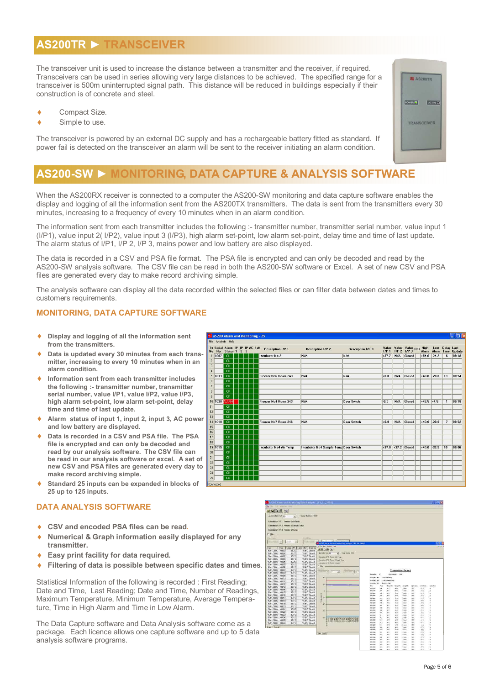### AS200TR ► TRANSCEIVER

The transceiver unit is used to increase the distance between a transmitter and the receiver, if required. Transceivers can be used in series allowing very large distances to be achieved. The specified range for a transceiver is 500m uninterrupted signal path. This distance will be reduced in buildings especially if their construction is of concrete and steel.

- ♦ Compact Size.
- ♦ Simple to use.

The transceiver is powered by an external DC supply and has a rechargeable battery fitted as standard. If power fail is detected on the transceiver an alarm will be sent to the receiver initiating an alarm condition.

# AS200-SW ► MONITORING, DATA CAPTURE & ANALYSIS SOFTWARE

When the AS200RX receiver is connected to a computer the AS200-SW monitoring and data capture software enables the display and logging of all the information sent from the AS200TX transmitters. The data is sent from the transmitters every 30 minutes, increasing to a frequency of every 10 minutes when in an alarm condition.

The information sent from each transmitter includes the following :- transmitter number, transmitter serial number, value input 1 (I/P1), value input 2( I/P2), value input 3 (I/P3), high alarm set-point, low alarm set-point, delay time and time of last update. The alarm status of I/P1, I/P 2, I/P 3, mains power and low battery are also displayed.

The data is recorded in a CSV and PSA file format. The PSA file is encrypted and can only be decoded and read by the AS200-SW analysis software. The CSV file can be read in both the AS200-SW software or Excel. A set of new CSV and PSA files are generated every day to make record archiving simple.

The analysis software can display all the data recorded within the selected files or can filter data between dates and times to customers requirements.

 $\frac{2}{2}$ 

### MONITORING, DATA CAPTURE SOFTWARE

- ♦ Display and logging of all the information sent from the transmitters.
- Data is updated every 30 minutes from each transmitter, increasing to every 10 minutes when in an alarm condition.
- Information sent from each transmitter includes the following :- transmitter number, transmitter serial number, value I/P1, value I/P2, value I/P3, high alarm set-point, low alarm set-point, delay time and time of last update.
- Alarm status of input 1, input 2, input 3, AC power and low battery are displayed.
- Data is recorded in a CSV and PSA file. The PSA File is encrypted and can only be decoded and read by our analysis software. The CSV file can be read in our analysis software or excel. A set of new CSV and PSA files are generated every day to make record archiving simple.
- Standard 25 inputs can be expanded in blocks of 25 up to 125 inputs.

#### DATA ANALYSIS SOFTWARE

- CSV and encoded PSA files can be read.
- Numerical & Graph information easily displayed for any transmitter.
- ♦ Easy print facility for data required.
- ♦ Filtering of data is possible between specific dates and times.

Statistical Information of the following is recorded : First Reading; Date and Time, Last Reading; Date and Time, Number of Readings, Maximum Temperature, Minimum Temperature, Average Temperature, Time in High Alarm and Time in Low Alarm.

The Data Capture software and Data Analysis software come as a package. Each licence allows one capture software and up to 5 data analysis software programs.

|                                            | AS200 Alarm and Monitoring - 25 |  |  |                               |                                       |                          |         |     |                                                                 |                 |         |                | <u>a io X</u>                       |
|--------------------------------------------|---------------------------------|--|--|-------------------------------|---------------------------------------|--------------------------|---------|-----|-----------------------------------------------------------------|-----------------|---------|----------------|-------------------------------------|
|                                            | Analysis Help                   |  |  |                               |                                       |                          |         |     |                                                                 |                 |         |                |                                     |
| Serial Alarm IP IP IP AC Batt<br><b>No</b> | Status 1 2 3                    |  |  | <b>Description I/P 1</b>      | <b>Description I/P 2</b>              | <b>Description I/P 3</b> |         |     | Value Value Value Unit High Low<br>1/P 1 1/P 2 1/P 3 Marm Alarm |                 |         |                | Low Delay Last<br>Alarm Time Update |
| 1007                                       | <b>OK</b>                       |  |  | <b>Incubator No 2</b>         | N/A                                   | N/A                      | $+37.7$ | N/A | Closed                                                          | $+54.6$ $-24.2$ |         | f.             | 09:18                               |
|                                            | <b>DK</b>                       |  |  |                               |                                       |                          |         |     |                                                                 |                 |         |                |                                     |
|                                            | <b>OK</b>                       |  |  |                               |                                       |                          |         |     |                                                                 |                 |         |                |                                     |
|                                            | <b>OK</b>                       |  |  |                               |                                       |                          |         |     |                                                                 |                 |         |                |                                     |
| 1033                                       | <b>OK</b>                       |  |  | Freezer No6 Room 243          | N/A                                   | N/A                      | $+0.0$  | N/A | <b>Closed</b>                                                   | $+40.0$         | $-20.0$ | 13             | 08:54                               |
|                                            | <b>OK</b>                       |  |  |                               |                                       |                          |         |     |                                                                 |                 |         |                |                                     |
|                                            | <b>OK</b>                       |  |  |                               |                                       |                          |         |     |                                                                 |                 |         |                |                                     |
|                                            | <b>DK</b><br><b>OK</b>          |  |  |                               |                                       |                          |         |     |                                                                 |                 |         |                |                                     |
| 1020 ALARM                                 |                                 |  |  | Freezer No4 Room 243          | N/A                                   | Door Swich               | $-0.0$  | N/A | Closed                                                          | $+46.5$ +4.5    |         | $\mathbf{1}$   | 09:18                               |
|                                            | <b>OK</b>                       |  |  |                               |                                       |                          |         |     |                                                                 |                 |         |                |                                     |
|                                            | <b>OK</b>                       |  |  |                               |                                       |                          |         |     |                                                                 |                 |         |                |                                     |
|                                            | <b>OK</b>                       |  |  |                               |                                       |                          |         |     |                                                                 |                 |         |                |                                     |
| 1010                                       | <b>DK</b>                       |  |  | Freezer No7 Room 246          | N/A                                   | <b>Door Switch</b>       | $+0.0$  | N/A | <b>Closed</b>                                                   | $+40.0$         | $-20.0$ | $\overline{7}$ | 08:52                               |
|                                            | <b>OK</b>                       |  |  |                               |                                       |                          |         |     |                                                                 |                 |         |                |                                     |
|                                            | <b>OK</b>                       |  |  |                               |                                       |                          |         |     |                                                                 |                 |         |                |                                     |
|                                            | <b>OK</b>                       |  |  |                               |                                       |                          |         |     |                                                                 |                 |         |                |                                     |
|                                            | <b>OK</b>                       |  |  |                               |                                       |                          |         |     |                                                                 |                 |         |                |                                     |
| 1015                                       | <b>OK</b>                       |  |  | <b>Incubator No4 Air Temp</b> | Incubator No4 Sample Temr Door Switch |                          |         |     | $+37.0$ +37.2 Closed                                            | $+40.0$         | $-33.5$ | 10             | 09:06                               |
|                                            | <b>DK</b>                       |  |  |                               |                                       |                          |         |     |                                                                 |                 |         |                |                                     |
|                                            | <b>OK</b>                       |  |  |                               |                                       |                          |         |     |                                                                 |                 |         |                |                                     |
|                                            | OK                              |  |  |                               |                                       |                          |         |     |                                                                 |                 |         |                |                                     |
|                                            | <b>OK</b>                       |  |  |                               |                                       |                          |         |     |                                                                 |                 |         |                |                                     |
|                                            | <b>OK</b>                       |  |  |                               |                                       |                          |         |     |                                                                 |                 |         |                |                                     |
|                                            | <b>OK</b>                       |  |  |                               |                                       |                          |         |     |                                                                 |                 |         |                |                                     |